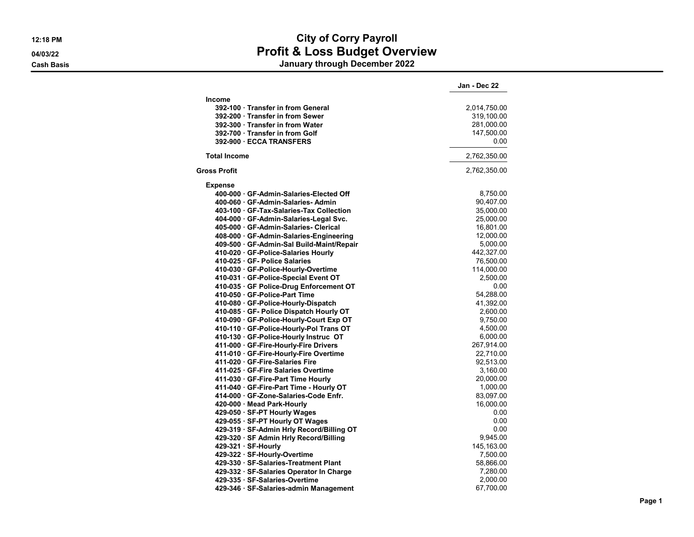## **12:18 PM City of Corry Payroll 04/03/22 Profit & Loss Budget Overview Cash Basis January through December 2022**

|                                           | Jan - Dec 22 |
|-------------------------------------------|--------------|
| <b>Income</b>                             |              |
| 392-100 · Transfer in from General        | 2,014,750.00 |
| 392-200 · Transfer in from Sewer          | 319,100.00   |
| 392-300 Transfer in from Water            | 281,000.00   |
| 392-700 · Transfer in from Golf           | 147,500.00   |
| 392-900 ECCA TRANSFERS                    | 0.00         |
| <b>Total Income</b>                       | 2,762,350.00 |
| Gross Profit                              | 2,762,350.00 |
| <b>Expense</b>                            |              |
| 400-000 · GF-Admin-Salaries-Elected Off   | 8,750.00     |
| 400-060 · GF-Admin-Salaries-Admin         | 90,407.00    |
| 403-100 GF-Tax-Salaries-Tax Collection    | 35,000.00    |
| 404-000 GF-Admin-Salaries-Legal Svc.      | 25,000.00    |
| 405-000 GF-Admin-Salaries- Clerical       | 16,801.00    |
| 408-000 GF-Admin-Salaries-Engineering     | 12,000.00    |
| 409-500 · GF-Admin-Sal Build-Maint/Repair | 5,000.00     |
| 410-020 GF-Police-Salaries Hourly         | 442,327.00   |
| 410-025 GF- Police Salaries               | 76,500.00    |
| 410-030 GF-Police-Hourly-Overtime         | 114,000.00   |
| 410-031 · GF-Police-Special Event OT      | 2,500.00     |
| 410-035 GF Police-Drug Enforcement OT     | 0.00         |
| 410-050 · GF-Police-Part Time             | 54,288.00    |
| 410-080 GF-Police-Hourly-Dispatch         | 41,392.00    |
| 410-085 · GF- Police Dispatch Hourly OT   | 2,600.00     |
| 410-090 · GF-Police-Hourly-Court Exp OT   | 9,750.00     |
| 410-110 · GF-Police-Hourly-Pol Trans OT   | 4,500.00     |
| 410-130 GF-Police-Hourly Instruc OT       | 6,000.00     |
| 411-000 · GF-Fire-Hourly-Fire Drivers     | 267,914.00   |
| 411-010 · GF-Fire-Hourly-Fire Overtime    | 22,710.00    |
| 411-020 GF-Fire-Salaries Fire             | 92,513.00    |
| 411-025 GF-Fire Salaries Overtime         | 3,160.00     |
| 411-030 GF-Fire-Part Time Hourly          | 20,000.00    |
| 411-040 GF-Fire-Part Time - Hourly OT     | 1,000.00     |
| 414-000 GF-Zone-Salaries-Code Enfr.       | 83,097.00    |
| 420-000 Mead Park-Hourly                  | 16,000.00    |
| 429-050 · SF-PT Hourly Wages              | 0.00         |
| 429-055 · SF-PT Hourly OT Wages           | 0.00         |
| 429-319 · SF-Admin Hrly Record/Billing OT | 0.00         |
| 429-320 · SF Admin Hrly Record/Billing    | 9,945.00     |
| 429-321 · SF-Hourly                       | 145, 163.00  |
| 429-322 · SF-Hourly-Overtime              | 7,500.00     |
| 429-330 · SF-Salaries-Treatment Plant     | 58,866.00    |
| 429-332 · SF-Salaries Operator In Charge  | 7,280.00     |
| 429-335 · SF-Salaries-Overtime            | 2,000.00     |
| 429-346 · SF-Salaries-admin Management    | 67,700.00    |